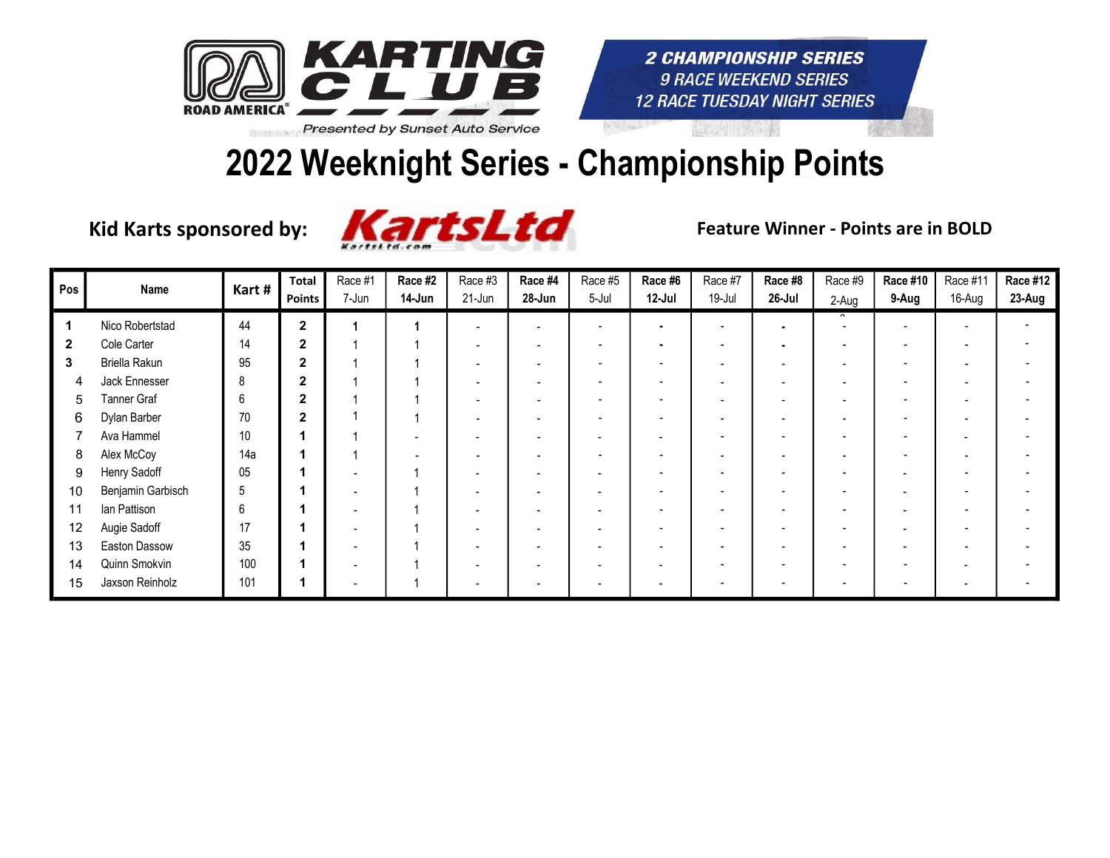

#### 2022 Weeknight Series - Championship Points



| Pos          | Name              | Kart# | <b>Total</b><br>Points | Race #1<br>7-Jun | Race #2<br>14-Jun | Race #3<br>21-Jun | Race #4<br>28-Jun        | Race #5<br>5-Jul | Race #6<br>12-Jul        | Race #7<br>19-Jul        | Race #8<br>26-Jul        | Race #9<br>2-Aug | <b>Race #10</b><br>9-Aug | Race #11<br>16-Aug | Race #12<br>23-Aug |
|--------------|-------------------|-------|------------------------|------------------|-------------------|-------------------|--------------------------|------------------|--------------------------|--------------------------|--------------------------|------------------|--------------------------|--------------------|--------------------|
|              | Nico Robertstad   | 44    | $\overline{2}$         |                  |                   |                   |                          | ٠                | $\blacksquare$           | $\overline{\phantom{0}}$ | $\blacksquare$           |                  |                          |                    |                    |
| $\mathbf{2}$ | Cole Carter       | 14    | $\mathbf{2}$           |                  |                   |                   |                          |                  | ۰                        |                          | $\blacksquare$           |                  |                          |                    |                    |
| 3            | Briella Rakun     | 95    | $\overline{2}$         |                  |                   |                   |                          |                  |                          |                          |                          |                  |                          |                    |                    |
| 4            | Jack Ennesser     | 8     | $\overline{2}$         |                  |                   |                   |                          |                  |                          |                          | $\overline{\phantom{a}}$ |                  |                          |                    |                    |
| 5            | Tanner Graf       | 6     | $\mathbf{2}$           |                  |                   |                   |                          |                  | $\overline{\phantom{0}}$ |                          | $\overline{\phantom{0}}$ |                  |                          |                    |                    |
| 6            | Dylan Barber      | 70    | $\overline{2}$         |                  |                   |                   |                          |                  | -                        |                          | $\overline{\phantom{0}}$ |                  |                          |                    |                    |
|              | Ava Hammel        | $10$  |                        |                  |                   |                   |                          |                  | $\overline{\phantom{0}}$ |                          | $\overline{\phantom{a}}$ |                  |                          |                    |                    |
| 8            | Alex McCoy        | 14a   |                        |                  |                   |                   |                          |                  | $\overline{\phantom{0}}$ |                          | $\overline{\phantom{a}}$ |                  | $\overline{\phantom{a}}$ |                    |                    |
| 9            | Henry Sadoff      | 05    |                        |                  |                   |                   |                          |                  | $\overline{\phantom{0}}$ |                          |                          |                  | $\overline{\phantom{0}}$ |                    |                    |
| 10           | Benjamin Garbisch | $5\,$ |                        |                  |                   |                   | $\overline{\phantom{a}}$ |                  | $\overline{\phantom{0}}$ |                          | $\overline{\phantom{a}}$ |                  | $\blacksquare$           |                    |                    |
| 11           | lan Pattison      | 6     |                        |                  |                   |                   |                          |                  | $\overline{\phantom{a}}$ | $\overline{\phantom{0}}$ | $\overline{\phantom{0}}$ |                  | <b>.</b>                 |                    |                    |
| 12           | Augie Sadoff      | 17    |                        |                  |                   |                   |                          |                  | $\overline{\phantom{0}}$ |                          | $\overline{\phantom{0}}$ |                  |                          |                    |                    |
| 13           | Easton Dassow     | 35    |                        |                  |                   |                   |                          |                  |                          |                          |                          |                  |                          |                    |                    |
| 14           | Quinn Smokvin     | 100   |                        |                  |                   |                   |                          |                  |                          |                          |                          |                  |                          |                    |                    |
| 15           | Jaxson Reinholz   | 101   |                        |                  |                   |                   |                          |                  |                          |                          | $\overline{\phantom{a}}$ |                  |                          |                    |                    |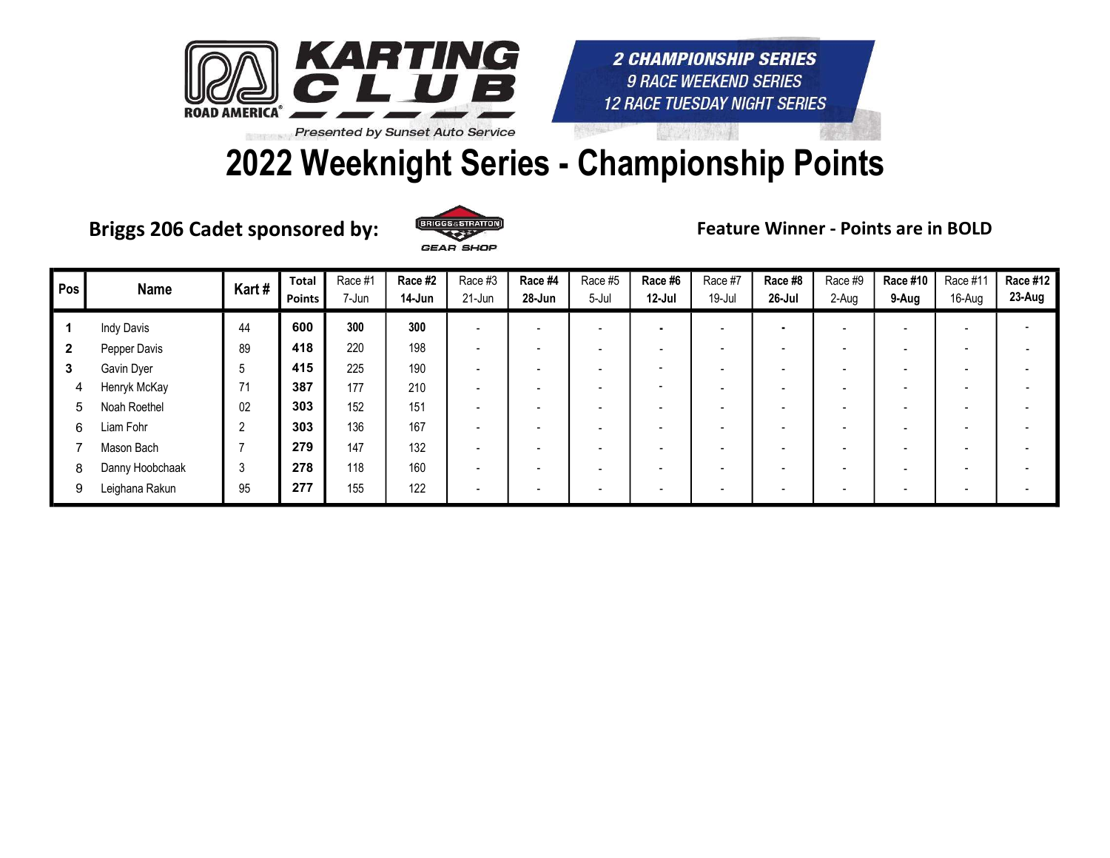

### 2022 Weeknight Series - Championship Points

Briggs 206 Cadet sponsored by: ERICGS SSTILATION Feature Winner - Points are in BOLD



| Pos          | <b>Name</b>       | Kart#          | <b>Total</b><br><b>Points</b> | Race #1<br>7-Jun | Race #2<br>14-Jun | Race #3<br>21-Jun        | Race #4<br>28-Jun        | Race #5<br>5-Jul | Race #6<br>$12-Jul$      | Race #7<br>19-Jul | Race #8<br>26-Jul        | Race #9<br>2-Aug | Race #10<br>9-Aug        | Race #11<br>16-Aug | <b>Race #12</b><br>23-Aug |
|--------------|-------------------|----------------|-------------------------------|------------------|-------------------|--------------------------|--------------------------|------------------|--------------------------|-------------------|--------------------------|------------------|--------------------------|--------------------|---------------------------|
|              | <b>Indy Davis</b> | 44             | 600                           | 300              | 300               | $\overline{\phantom{0}}$ | $\blacksquare$           |                  |                          |                   | $\blacksquare$           |                  | $\overline{\phantom{a}}$ |                    |                           |
| $\mathbf{2}$ | Pepper Davis      | 89             | 418                           | 220              | 198               |                          | ۰.                       |                  | $\overline{\phantom{0}}$ |                   | $\overline{\phantom{a}}$ |                  |                          |                    |                           |
| 3            | Gavin Dyer        | 5              | 415                           | 225              | 190               |                          | $\overline{\phantom{0}}$ |                  | $\overline{\phantom{0}}$ |                   | $\overline{\phantom{0}}$ |                  |                          |                    |                           |
| 4            | Henryk McKay      | 71             | 387                           | 177              | 210               |                          | -                        |                  | $\overline{\phantom{0}}$ |                   | $\overline{\phantom{0}}$ |                  |                          |                    |                           |
| 5            | Noah Roethel      | 02             | 303                           | 152              | 151               |                          | $\overline{\phantom{0}}$ |                  | $\overline{\phantom{0}}$ |                   | $\overline{\phantom{a}}$ |                  |                          |                    |                           |
| 6            | Liam Fohr         | $\overline{2}$ | 303                           | 136              | 167               |                          | -                        |                  | -                        |                   | $\overline{\phantom{0}}$ |                  |                          |                    |                           |
|              | Mason Bach        |                | 279                           | 147              | 132               |                          | -                        |                  |                          |                   | $\overline{\phantom{0}}$ |                  |                          |                    |                           |
| 8            | Danny Hoobchaak   | 3              | 278                           | 118              | 160               |                          |                          |                  | $\overline{\phantom{0}}$ |                   | $\overline{\phantom{a}}$ |                  |                          |                    |                           |
| 9            | Leighana Rakun    | 95             | 277                           | 155              | 122               |                          |                          |                  |                          |                   | $\overline{\phantom{0}}$ |                  |                          |                    |                           |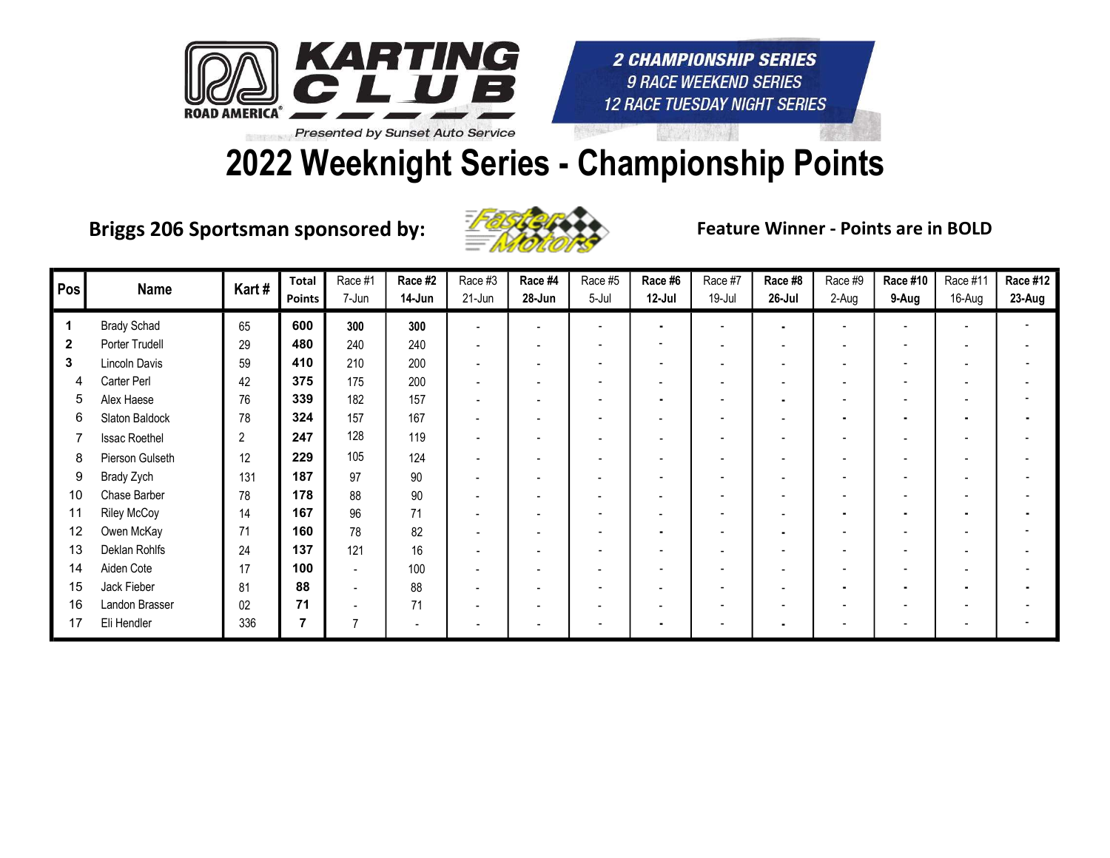

# 2022 Weeknight Series - Championship Points

Briggs 206 Sportsman sponsored by: Entry Seature Winner - Points are in BOLD



| Pos          | <b>Name</b>          | Kart#        | <b>Total</b><br><b>Points</b> | Race #1<br>7-Jun | Race #2<br>14-Jun | Race #3<br>21-Jun        | Race #4<br>28-Jun        | Race #5<br>5-Jul | Race #6<br>$12-Jul$      | Race #7<br>19-Jul | Race #8<br>26-Jul | Race #9<br>2-Aug         | <b>Race #10</b><br>9-Aug | Race #11<br>16-Aug | Race #12<br>23-Aug |
|--------------|----------------------|--------------|-------------------------------|------------------|-------------------|--------------------------|--------------------------|------------------|--------------------------|-------------------|-------------------|--------------------------|--------------------------|--------------------|--------------------|
|              | <b>Brady Schad</b>   | 65           | 600                           | 300              | 300               | $\blacksquare$           |                          |                  | $\blacksquare$           |                   |                   |                          |                          |                    |                    |
| $\mathbf{2}$ | Porter Trudell       | 29           | 480                           | 240              | 240               | $\blacksquare$           |                          |                  | $\overline{\phantom{a}}$ |                   |                   |                          | $\blacksquare$           |                    |                    |
| 3            | Lincoln Davis        | 59           | 410                           | 210              | 200               | $\blacksquare$           |                          |                  | $\overline{\phantom{a}}$ |                   |                   |                          | $\overline{\phantom{a}}$ |                    |                    |
| 4            | Carter Perl          | 42           | 375                           | 175              | 200               | $\overline{\phantom{0}}$ |                          |                  | $\overline{\phantom{0}}$ |                   |                   |                          | $\overline{\phantom{a}}$ |                    |                    |
| 5            | Alex Haese           | 76           | 339                           | 182              | 157               | $\overline{\phantom{0}}$ |                          |                  | $\blacksquare$           |                   |                   |                          | $\overline{\phantom{a}}$ |                    |                    |
| 6            | Slaton Baldock       | 78           | 324                           | 157              | 167               |                          | $\overline{\phantom{a}}$ |                  | $\overline{\phantom{a}}$ |                   |                   | $\blacksquare$           | $\blacksquare$           |                    |                    |
|              | <b>Issac Roethel</b> | $\mathbf{2}$ | 247                           | 128              | 119               | $\overline{\phantom{0}}$ | $\overline{\phantom{0}}$ |                  | $\overline{\phantom{a}}$ |                   |                   |                          | $\overline{\phantom{a}}$ |                    |                    |
| 8            | Pierson Gulseth      | 12           | 229                           | 105              | 124               | $\blacksquare$           | $\overline{\phantom{0}}$ |                  | $\overline{\phantom{a}}$ |                   |                   | $\overline{\phantom{0}}$ | $\overline{\phantom{a}}$ |                    |                    |
| 9            | Brady Zych           | 131          | 187                           | 97               | 90                |                          | $\overline{\phantom{a}}$ |                  | $\overline{\phantom{a}}$ |                   |                   |                          | $\overline{\phantom{0}}$ |                    |                    |
| 10           | Chase Barber         | 78           | 178                           | 88               | $90\,$            |                          |                          |                  |                          |                   |                   |                          | $\overline{\phantom{0}}$ |                    |                    |
| 11           | <b>Riley McCoy</b>   | 14           | 167                           | 96               | 71                |                          |                          |                  | $\overline{\phantom{a}}$ |                   |                   |                          | $\blacksquare$           |                    |                    |
| 12           | Owen McKay           | 71           | 160                           | 78               | 82                | $\overline{\phantom{0}}$ |                          |                  | $\blacksquare$           |                   |                   |                          |                          |                    |                    |
| 13           | Deklan Rohlfs        | 24           | 137                           | 121              | 16                |                          |                          |                  | $\overline{\phantom{a}}$ |                   |                   |                          | $\overline{\phantom{0}}$ |                    |                    |
| 14           | Aiden Cote           | 17           | 100                           |                  | 100               |                          |                          |                  | $\overline{\phantom{0}}$ |                   |                   |                          | $\overline{\phantom{0}}$ |                    |                    |
| 15           | Jack Fieber          | 81           | 88                            | $\blacksquare$   | 88                |                          |                          |                  | $\overline{\phantom{a}}$ |                   |                   |                          | $\blacksquare$           |                    |                    |
| 16           | Landon Brasser       | 02           | 71                            |                  | 71                |                          |                          |                  |                          |                   |                   |                          | $\overline{\phantom{a}}$ |                    |                    |
| 17           | Eli Hendler          | 336          |                               |                  | $\overline{a}$    |                          |                          |                  | $\blacksquare$           |                   |                   |                          | $\overline{\phantom{a}}$ |                    |                    |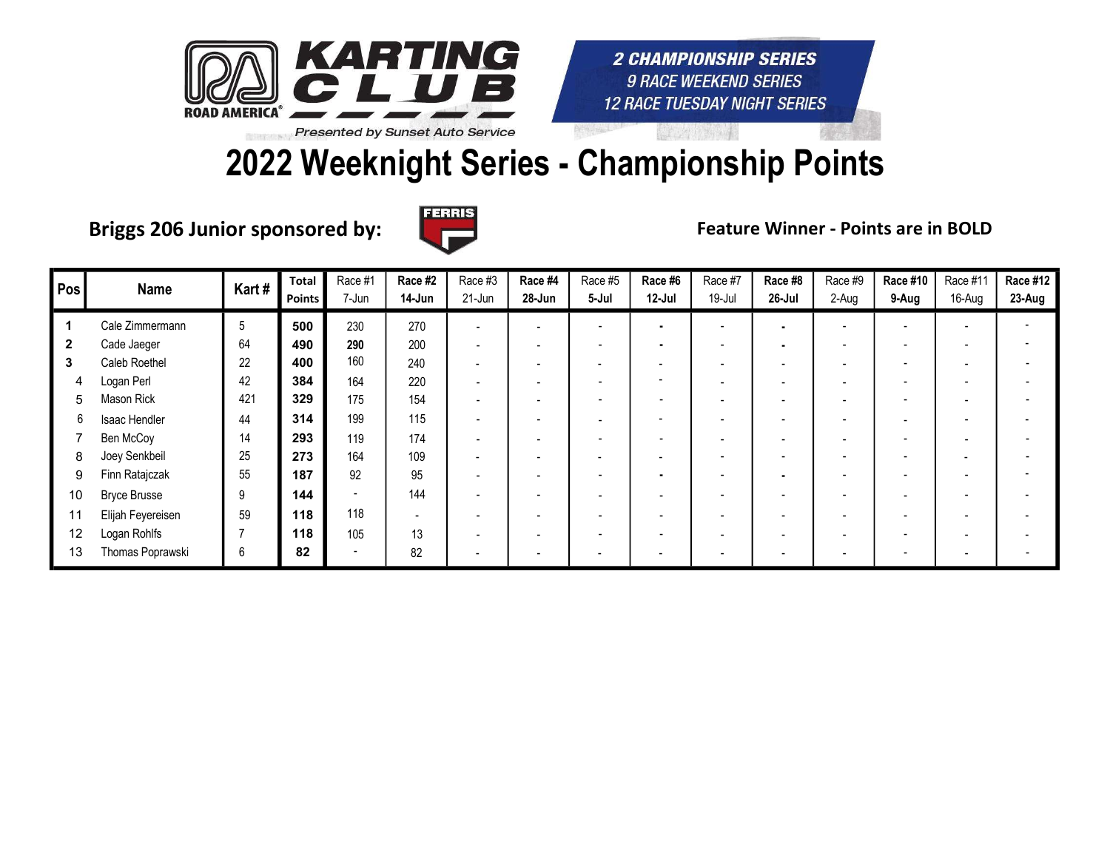

## 2022 Weeknight Series - Championship Points

Briggs 206 Junior sponsored by:  $\Box$  The Reature Winner - Points are in BOLD



| Pos | Name                | Kart# | <b>Total</b><br>Points | Race #1<br>7-Jun | Race #2<br>14-Jun        | Race #3<br>21-Jun        | Race #4<br>28-Jun        | Race #5<br>5-Jul         | Race #6<br>12-Jul        | Race #7<br>19-Jul        | Race #8<br>26-Jul        | Race #9<br>2-Aug | Race #10<br>9-Aug        | Race #11<br>16-Aug | <b>Race #12</b><br>23-Aug |
|-----|---------------------|-------|------------------------|------------------|--------------------------|--------------------------|--------------------------|--------------------------|--------------------------|--------------------------|--------------------------|------------------|--------------------------|--------------------|---------------------------|
|     | Cale Zimmermann     | 5     | 500                    | 230              | 270                      | $\overline{\phantom{0}}$ | $\overline{\phantom{0}}$ |                          | ٠                        | $\overline{\phantom{a}}$ | $\blacksquare$           |                  |                          |                    |                           |
| 2   | Cade Jaeger         | 64    | 490                    | 290              | 200                      |                          | $\overline{\phantom{0}}$ |                          | $\blacksquare$           | $\overline{\phantom{0}}$ |                          |                  |                          |                    |                           |
| 3   | Caleb Roethel       | 22    | 400                    | 160              | 240                      |                          | $\overline{\phantom{0}}$ | $\overline{\phantom{0}}$ | $\overline{\phantom{a}}$ | $\overline{\phantom{0}}$ | $\overline{\phantom{0}}$ |                  |                          |                    |                           |
| 4   | Logan Perl          | 42    | 384                    | 164              | 220                      |                          |                          |                          | $\overline{\phantom{a}}$ |                          |                          |                  |                          |                    |                           |
| 5   | Mason Rick          | 421   | 329                    | 175              | 154                      |                          |                          |                          | $\overline{\phantom{a}}$ |                          |                          |                  |                          |                    |                           |
| 6   | Isaac Hendler       | 44    | 314                    | 199              | 115                      |                          | $\overline{\phantom{0}}$ |                          | $\overline{\phantom{a}}$ |                          |                          |                  |                          |                    |                           |
|     | Ben McCoy           | 14    | 293                    | 119              | 174                      |                          |                          |                          | $\overline{\phantom{0}}$ | $\overline{\phantom{a}}$ |                          |                  |                          |                    |                           |
| 8   | Joey Senkbeil       | 25    | 273                    | 164              | 109                      |                          | $\overline{\phantom{0}}$ |                          | $\overline{\phantom{a}}$ | $\overline{\phantom{a}}$ | $\overline{\phantom{a}}$ |                  |                          |                    |                           |
| 9   | Finn Ratajczak      | 55    | 187                    | 92               | 95                       |                          | $\overline{\phantom{0}}$ | $\overline{\phantom{0}}$ | ٠                        | $\overline{\phantom{a}}$ | $\blacksquare$           |                  | $\overline{\phantom{0}}$ |                    |                           |
| 10  | <b>Bryce Brusse</b> | 9     | 144                    |                  | 144                      |                          | $\overline{\phantom{0}}$ |                          | $\overline{\phantom{0}}$ | $\overline{\phantom{a}}$ |                          |                  |                          |                    |                           |
| 11  | Elijah Feyereisen   | 59    | 118                    | 118              | $\overline{\phantom{a}}$ |                          |                          |                          | $\overline{\phantom{0}}$ | $\overline{\phantom{0}}$ |                          |                  |                          |                    |                           |
| 12  | Logan Rohlfs        |       | 118                    | 105              | 13                       | $\overline{\phantom{0}}$ | $\overline{\phantom{0}}$ |                          | $\overline{\phantom{a}}$ | $\overline{\phantom{0}}$ | $\overline{\phantom{0}}$ |                  |                          |                    |                           |
| 13  | Thomas Poprawski    | 6     | 82                     | $\sim$           | 82                       |                          | $\overline{\phantom{0}}$ |                          | $\overline{\phantom{0}}$ | $\overline{\phantom{0}}$ | $\overline{\phantom{a}}$ |                  |                          |                    |                           |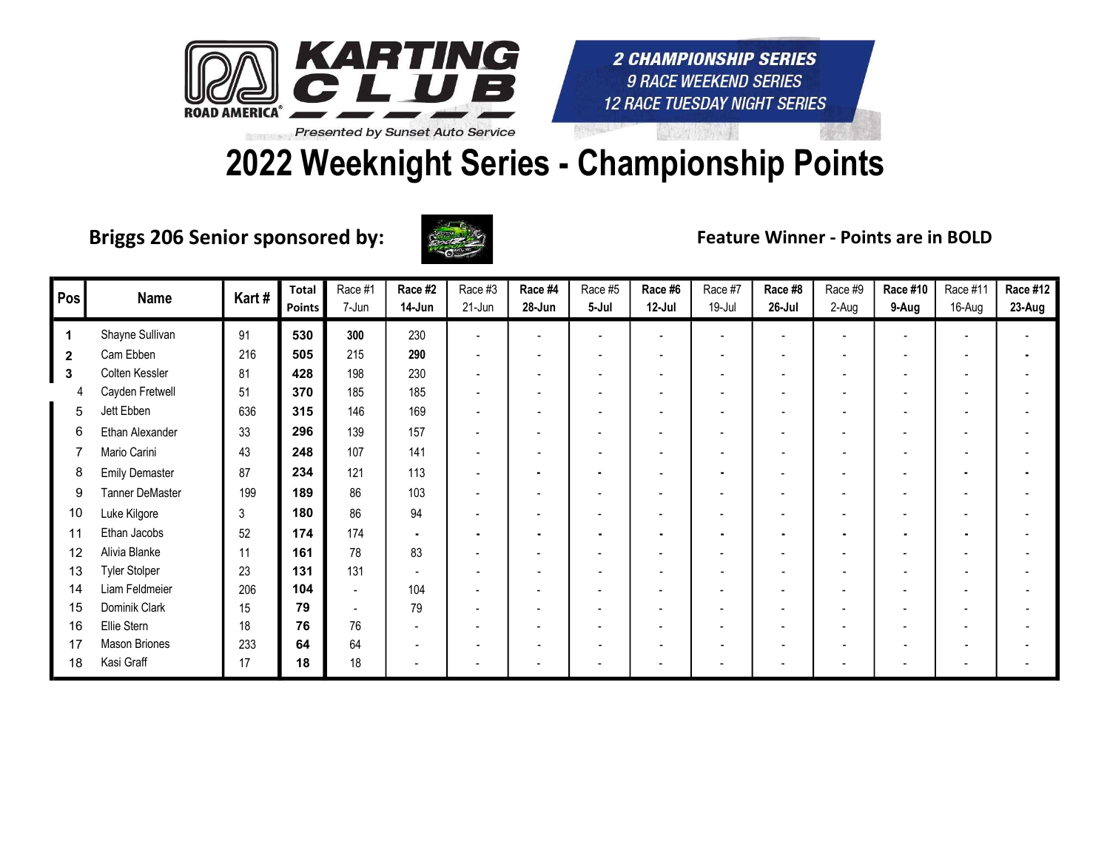

# 2022 Weeknight Series - Championship Points

Briggs 206 Senior sponsored by:



Feature Winner - Points are in BOLD

| Pos                  | <b>Name</b>            | Kart# | <b>Total</b><br>Points | Race #1<br>7-Jun         | Race #2<br>14-Jun        | Race #3<br>21-Jun        | Race #4<br>28-Jun | Race #5<br>5-Jul | Race #6<br>$12$ -Jul     | Race #7<br>19-Jul        | Race #8<br>26-Jul        | Race #9<br>2-Aug         | Race #10<br>9-Aug        | Race #11<br>16-Aug | <b>Race #12</b><br>23-Aug |
|----------------------|------------------------|-------|------------------------|--------------------------|--------------------------|--------------------------|-------------------|------------------|--------------------------|--------------------------|--------------------------|--------------------------|--------------------------|--------------------|---------------------------|
| $\blacktriangleleft$ | Shayne Sullivan        | 91    | 530                    | 300                      | 230                      |                          |                   |                  |                          |                          |                          |                          |                          |                    |                           |
| $\overline{2}$       | Cam Ebben              | 216   | 505                    | 215                      | 290                      |                          |                   |                  | $\blacksquare$           | $\blacksquare$           | $\overline{\phantom{a}}$ | $\overline{\phantom{a}}$ | $\overline{\phantom{a}}$ |                    |                           |
| 3                    | Colten Kessler         | 81    | 428                    | 198                      | 230                      |                          |                   |                  | $\overline{\phantom{0}}$ | $\overline{\phantom{a}}$ |                          |                          | $\overline{\phantom{a}}$ |                    |                           |
|                      | Cayden Fretwell        | 51    | 370                    | 185                      | 185                      |                          |                   |                  | $\overline{\phantom{a}}$ | $\overline{\phantom{a}}$ | $\overline{\phantom{a}}$ |                          | $\overline{\phantom{a}}$ |                    |                           |
| 5                    | Jett Ebben             | 636   | 315                    | 146                      | 169                      |                          |                   |                  |                          |                          |                          |                          |                          |                    |                           |
| 6                    | Ethan Alexander        | 33    | 296                    | 139                      | 157                      | $\blacksquare$           |                   |                  |                          |                          |                          |                          | $\blacksquare$           |                    |                           |
|                      | Mario Carini           | 43    | 248                    | 107                      | 141                      |                          |                   |                  | $\overline{\phantom{a}}$ | $\blacksquare$           | $\overline{\phantom{a}}$ | $\blacksquare$           | $\overline{\phantom{a}}$ |                    |                           |
| 8                    | <b>Emily Demaster</b>  | 87    | 234                    | 121                      | 113                      |                          |                   | $\blacksquare$   | $\overline{\phantom{a}}$ | $\blacksquare$           | $\overline{\phantom{a}}$ | $\blacksquare$           | $\overline{\phantom{a}}$ |                    |                           |
| 9                    | <b>Tanner DeMaster</b> | 199   | 189                    | 86                       | 103                      | $\overline{\phantom{0}}$ |                   |                  | $\overline{\phantom{0}}$ |                          | $\overline{\phantom{0}}$ | $\blacksquare$           | $\overline{\phantom{a}}$ |                    |                           |
| 10                   | Luke Kilgore           | 3     | 180                    | 86                       | 94                       |                          |                   |                  |                          |                          |                          |                          | $\blacksquare$           |                    |                           |
| 11                   | Ethan Jacobs           | 52    | 174                    | 174                      | $\blacksquare$           |                          |                   |                  | ۰                        | $\blacksquare$           | $\blacksquare$           |                          | $\blacksquare$           |                    |                           |
| 12                   | Alivia Blanke          | 11    | 161                    | 78                       | 83                       |                          |                   |                  |                          |                          |                          |                          | $\blacksquare$           |                    |                           |
| 13                   | <b>Tyler Stolper</b>   | 23    | 131                    | 131                      |                          |                          |                   |                  |                          |                          |                          |                          |                          |                    |                           |
| 14                   | Liam Feldmeier         | 206   | 104                    | $\overline{\phantom{a}}$ | 104                      |                          |                   |                  |                          |                          | $\overline{\phantom{a}}$ | $\overline{\phantom{0}}$ | $\blacksquare$           |                    |                           |
| 15                   | Dominik Clark          | 15    | 79                     | $\overline{\phantom{a}}$ | 79                       |                          |                   |                  |                          |                          |                          |                          |                          |                    |                           |
| 16                   | Ellie Stern            | 18    | 76                     | 76                       | $\overline{\phantom{a}}$ |                          |                   |                  |                          |                          |                          |                          | $\overline{\phantom{a}}$ |                    |                           |
| 17                   | Mason Briones          | 233   | 64                     | 64                       | $\overline{\phantom{0}}$ |                          |                   |                  | $\overline{\phantom{0}}$ |                          |                          |                          |                          |                    |                           |
| 18                   | Kasi Graff             | 17    | 18                     | 18                       |                          |                          |                   |                  |                          |                          | $\blacksquare$           |                          | $\overline{\phantom{a}}$ |                    |                           |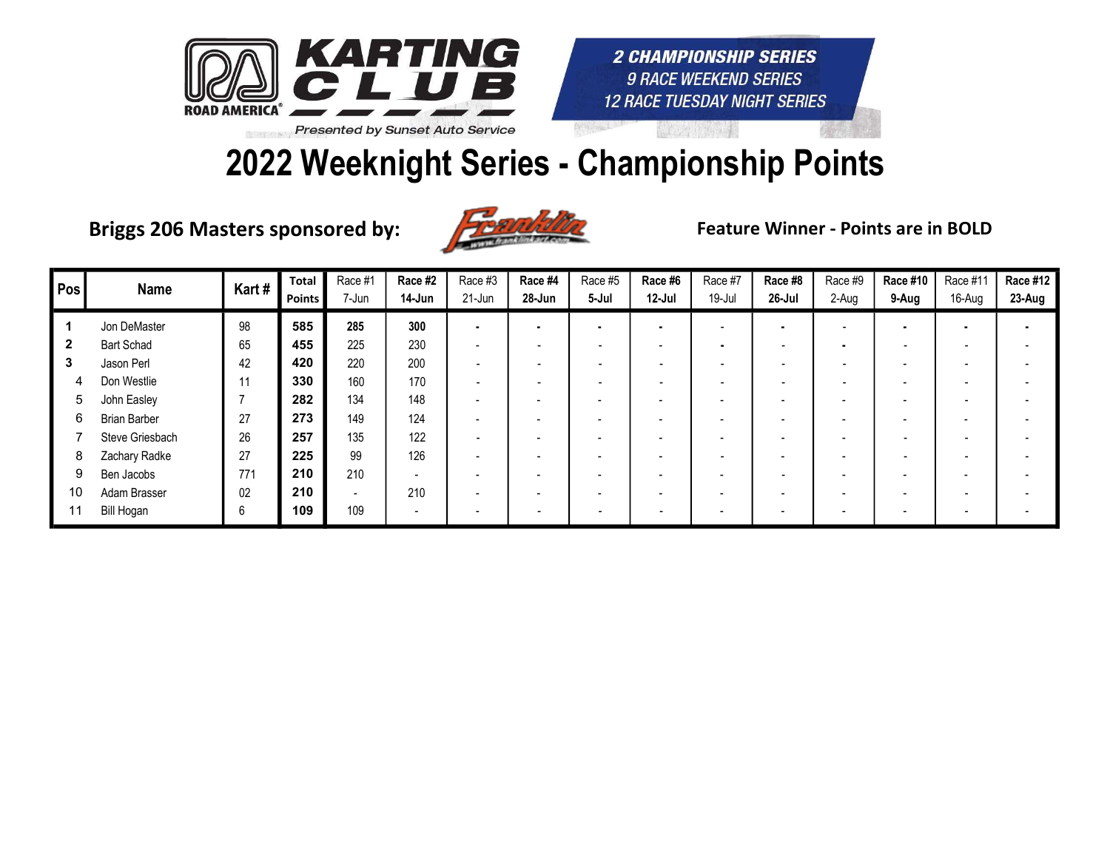

### 2022 Weeknight Series - Championship Points

Briggs 206 Masters sponsored by:



Feature Winner - Points are in BOLD

| Pos | <b>Name</b>         | Kart# | Total<br>Points | Race #1        | Race #2<br>14-Jun        | Race #3<br>21-Jun | Race #4<br>28-Jun        | Race #5 | Race #6<br>12-Jul        | Race #7                  | Race #8<br>26-Jul        | Race #9                  | Race #10                 | Race #11                 | <b>Race #12</b> |
|-----|---------------------|-------|-----------------|----------------|--------------------------|-------------------|--------------------------|---------|--------------------------|--------------------------|--------------------------|--------------------------|--------------------------|--------------------------|-----------------|
|     |                     |       |                 | 7-Jun          |                          |                   |                          | 5-Jul   |                          | $19 -$ Jul               |                          | 2-Aug                    | 9-Aug                    | 16-Aug                   | 23-Aug          |
|     | Jon DeMaster        | 98    | 585             | 285            | 300                      |                   |                          |         | $\overline{\phantom{a}}$ |                          | $\blacksquare$           |                          |                          |                          |                 |
|     | <b>Bart Schad</b>   | 65    | 455             | 225            | 230                      |                   | $\overline{\phantom{0}}$ | ۰.      | $\overline{\phantom{a}}$ |                          | $\overline{\phantom{0}}$ | ٠                        | $\overline{\phantom{a}}$ |                          |                 |
| 3   | Jason Perl          | 42    | 420             | 220            | 200                      |                   | $\overline{\phantom{0}}$ |         | -                        |                          | $\overline{\phantom{0}}$ |                          |                          |                          |                 |
| 4   | Don Westlie         | 11    | 330             | 160            | 170                      |                   |                          |         | -                        |                          |                          |                          |                          |                          |                 |
| 5   | John Easley         |       | 282             | 134            | 148                      |                   | $\overline{\phantom{0}}$ |         | $\overline{\phantom{0}}$ | $\overline{\phantom{0}}$ | $\blacksquare$           | $\overline{\phantom{0}}$ | $\overline{\phantom{0}}$ | $\overline{\phantom{0}}$ |                 |
| 6   | <b>Brian Barber</b> | 27    | 273             | 149            | 124                      |                   | $\overline{\phantom{a}}$ |         |                          |                          | $\overline{\phantom{a}}$ |                          |                          |                          |                 |
|     | Steve Griesbach     | 26    | 257             | 135            | 122                      |                   | $\overline{\phantom{a}}$ |         |                          |                          | $\overline{\phantom{a}}$ | $\overline{\phantom{0}}$ | $\blacksquare$           |                          |                 |
| 8   | Zachary Radke       | 27    | 225             | 99             | 126                      |                   | $\overline{\phantom{0}}$ |         | $\overline{\phantom{a}}$ |                          | $\overline{\phantom{a}}$ | $\overline{\phantom{0}}$ | $\overline{\phantom{a}}$ |                          |                 |
| 9   | Ben Jacobs          | 771   | 210             | 210            | $\overline{a}$           |                   | $\sim$                   |         | $\overline{\phantom{a}}$ |                          | $\overline{\phantom{0}}$ |                          | $\overline{\phantom{0}}$ |                          |                 |
| 10  | Adam Brasser        | 02    | 210             | $\overline{a}$ | 210                      |                   | $\overline{\phantom{a}}$ |         |                          |                          | $\overline{\phantom{a}}$ |                          | $\overline{\phantom{0}}$ |                          |                 |
| 11  | Bill Hogan          | 6     | 109             | 109            | $\overline{\phantom{a}}$ |                   |                          |         | $\overline{\phantom{0}}$ |                          |                          |                          |                          |                          |                 |